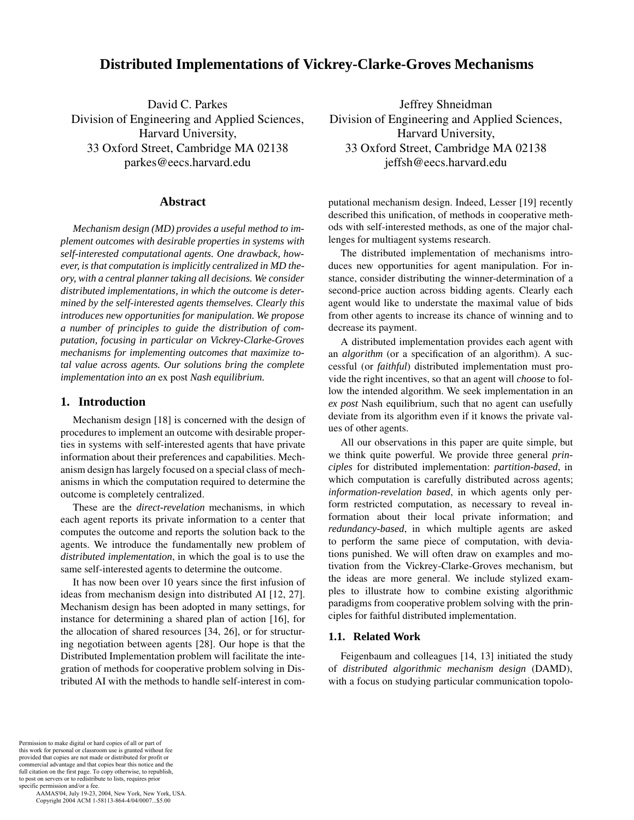# **Distributed Implementations of Vickrey-Clarke-Groves Mechanisms**

David C. Parkes Division of Engineering and Applied Sciences, Harvard University, 33 Oxford Street, Cambridge MA 02138 parkes@eecs.harvard.edu

## **Abstract**

*Mechanism design (MD) provides a useful method to implement outcomes with desirable properties in systems with self-interested computational agents. One drawback, however, is that computation is implicitly centralized in MD theory, with a central planner taking all decisions. We consider distributed implementations, in which the outcome is determined by the self-interested agents themselves. Clearly this introduces new opportunities for manipulation. We propose a number of principles to guide the distribution of computation, focusing in particular on Vickrey-Clarke-Groves mechanisms for implementing outcomes that maximize total value across agents. Our solutions bring the complete implementation into an* ex post *Nash equilibrium.*

# **1. Introduction**

Mechanism design [18] is concerned with the design of procedures to implement an outcome with desirable properties in systems with self-interested agents that have private information about their preferences and capabilities. Mechanism design has largely focused on a special class of mechanisms in which the computation required to determine the outcome is completely centralized.

These are the *direct-revelation* mechanisms, in which each agent reports its private information to a center that computes the outcome and reports the solution back to the agents. We introduce the fundamentally new problem of *distributed implementation*, in which the goal is to use the same self-interested agents to determine the outcome.

It has now been over 10 years since the first infusion of ideas from mechanism design into distributed AI [12, 27]. Mechanism design has been adopted in many settings, for instance for determining a shared plan of action [16], for the allocation of shared resources [34, 26], or for structuring negotiation between agents [28]. Our hope is that the Distributed Implementation problem will facilitate the integration of methods for cooperative problem solving in Distributed AI with the methods to handle self-interest in com-

Jeffrey Shneidman Division of Engineering and Applied Sciences, Harvard University, 33 Oxford Street, Cambridge MA 02138 jeffsh@eecs.harvard.edu

putational mechanism design. Indeed, Lesser [19] recently described this unification, of methods in cooperative methods with self-interested methods, as one of the major challenges for multiagent systems research.

The distributed implementation of mechanisms introduces new opportunities for agent manipulation. For instance, consider distributing the winner-determination of a second-price auction across bidding agents. Clearly each agent would like to understate the maximal value of bids from other agents to increase its chance of winning and to decrease its payment.

A distributed implementation provides each agent with an *algorithm* (or a specification of an algorithm). A successful (or *faithful*) distributed implementation must provide the right incentives, so that an agent will *choose* to follow the intended algorithm. We seek implementation in an *ex post* Nash equilibrium, such that no agent can usefully deviate from its algorithm even if it knows the private values of other agents.

All our observations in this paper are quite simple, but we think quite powerful. We provide three general *principles* for distributed implementation: *partition-based*, in which computation is carefully distributed across agents; *information-revelation based*, in which agents only perform restricted computation, as necessary to reveal information about their local private information; and *redundancy-based*, in which multiple agents are asked to perform the same piece of computation, with deviations punished. We will often draw on examples and motivation from the Vickrey-Clarke-Groves mechanism, but the ideas are more general. We include stylized examples to illustrate how to combine existing algorithmic paradigms from cooperative problem solving with the principles for faithful distributed implementation.

#### **1.1. Related Work**

Feigenbaum and colleagues [14, 13] initiated the study of *distributed algorithmic mechanism design* (DAMD), with a focus on studying particular communication topolo-

Permission to make digital or hard copies of all or part of this work for personal or classroom use is granted without fee provided that copies are not made or distributed for profit or commercial advantage and that copies bear this notice and the full citation on the first page. To copy otherwise, to republish, to post on servers or to redistribute to lists, requires prior specific permission and/or a fee.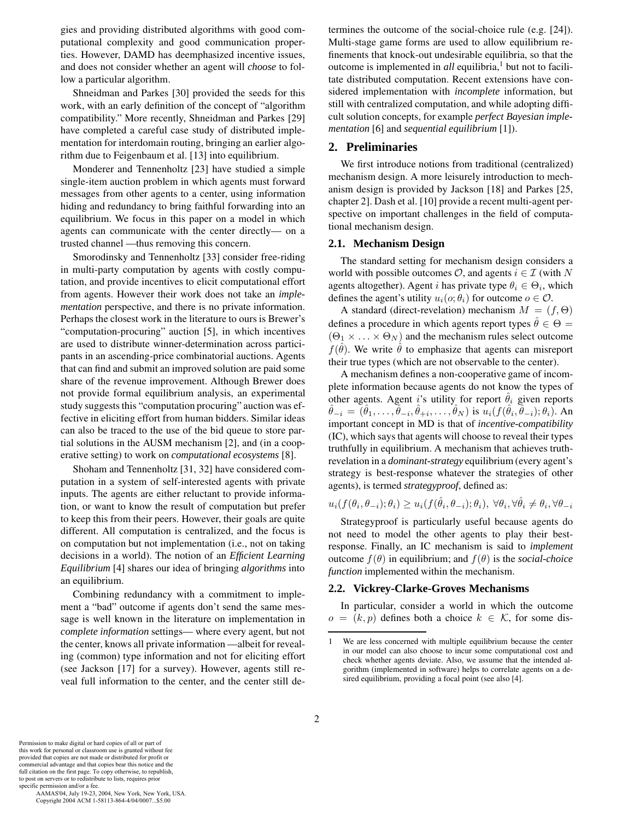gies and providing distributed algorithms with good computational complexity and good communication properties. However, DAMD has deemphasized incentive issues, and does not consider whether an agent will *choose* to follow a particular algorithm.

Shneidman and Parkes [30] provided the seeds for this work, with an early definition of the concept of "algorithm compatibility." More recently, Shneidman and Parkes [29] have completed a careful case study of distributed implementation for interdomain routing, bringing an earlier algorithm due to Feigenbaum et al. [13] into equilibrium.

Monderer and Tennenholtz [23] have studied a simple single-item auction problem in which agents must forward messages from other agents to a center, using information hiding and redundancy to bring faithful forwarding into an equilibrium. We focus in this paper on a model in which agents can communicate with the center directly— on a trusted channel —thus removing this concern.

Smorodinsky and Tennenholtz [33] consider free-riding in multi-party computation by agents with costly computation, and provide incentives to elicit computational effort from agents. However their work does not take an *implementation* perspective, and there is no private information. Perhaps the closest work in the literature to ours is Brewer's "computation-procuring" auction [5], in which incentives are used to distribute winner-determination across participants in an ascending-price combinatorial auctions. Agents that can find and submit an improved solution are paid some share of the revenue improvement. Although Brewer does not provide formal equilibrium analysis, an experimental study suggests this "computation procuring" auction was effective in eliciting effort from human bidders. Similar ideas can also be traced to the use of the bid queue to store partial solutions in the AUSM mechanism [2], and (in a cooperative setting) to work on *computational ecosystems* [8].

Shoham and Tennenholtz [31, 32] have considered computation in a system of self-interested agents with private inputs. The agents are either reluctant to provide information, or want to know the result of computation but prefer to keep this from their peers. However, their goals are quite different. All computation is centralized, and the focus is on computation but not implementation (i.e., not on taking decisions in a world). The notion of an *Efficient Learning Equilibrium* [4] shares our idea of bringing *algorithms* into an equilibrium.

Combining redundancy with a commitment to implement a "bad" outcome if agents don't send the same message is well known in the literature on implementation in *complete information* settings— where every agent, but not the center, knows all private information —albeit for revealing (common) type information and not for eliciting effort (see Jackson [17] for a survey). However, agents still reveal full information to the center, and the center still de-

termines the outcome of the social-choice rule (e.g. [24]). Multi-stage game forms are used to allow equilibrium refinements that knock-out undesirable equilibria, so that the outcome is implemented in *all* equilibria,<sup>1</sup> but not to facilitate distributed computation. Recent extensions have considered implementation with *incomplete* information, but still with centralized computation, and while adopting difficult solution concepts, for example *perfect Bayesian implementation* [6] and *sequential equilibrium* [1]).

#### **2. Preliminaries**

We first introduce notions from traditional (centralized) mechanism design. A more leisurely introduction to mechanism design is provided by Jackson [18] and Parkes [25, chapter 2]. Dash et al. [10] provide a recent multi-agent perspective on important challenges in the field of computational mechanism design.

#### **2.1. Mechanism Design**

The standard setting for mechanism design considers a world with possible outcomes  $\mathcal{O}$ , and agents  $i \in \mathcal{I}$  (with N agents altogether). Agent *i* has private type  $\theta_i \in \Theta_i$ , which defines the agent's utility  $u_i(o; \theta_i)$  for outcome  $o \in \mathcal{O}$ .

A standard (direct-revelation) mechanism  $M = (f, \Theta)$ defines a procedure in which agents report types  $\hat{\theta} \in \Theta =$  $(\Theta_1 \times \ldots \times \Theta_N)$  and the mechanism rules select outcome  $f(\hat{\theta})$ . We write  $\hat{\theta}$  to emphasize that agents can misreport their true types (which are not observable to the center).

A mechanism defines a non-cooperative game of incomplete information because agents do not know the types of other agents. Agent *i*'s utility for report  $\hat{\theta}_i$  given reports  $\hat{\theta}_{-i} = (\hat{\theta}_1, \ldots, \hat{\theta}_{-i}, \hat{\theta}_{+i}, \ldots, \hat{\theta}_N)$  is  $u_i(f(\hat{\theta}_i, \hat{\theta}_{-i}); \theta_i)$ . An important concept in MD is that of *incentive-compatibility* (IC), which says that agents will choose to reveal their types truthfully in equilibrium. A mechanism that achieves truthrevelation in a *dominant-strategy* equilibrium (every agent's strategy is best-response whatever the strategies of other agents), is termed *strategyproof*, defined as:

$$
u_i(f(\theta_i, \theta_{-i}); \theta_i) \ge u_i(f(\theta_i, \theta_{-i}); \theta_i), \ \forall \theta_i, \forall \theta_i \ne \theta_i, \forall \theta_{-i}
$$

Strategyproof is particularly useful because agents do not need to model the other agents to play their bestresponse. Finally, an IC mechanism is said to *implement* outcome <sup>f</sup>(θ) in equilibrium; and <sup>f</sup>(θ) is the *social-choice function* implemented within the mechanism.

#### **2.2. Vickrey-Clarke-Groves Mechanisms**

In particular, consider a world in which the outcome  $o = (k, p)$  defines both a choice  $k \in \mathcal{K}$ , for some dis-

Permission to make digital or hard copies of all or part of this work for personal or classroom use is granted without fee provided that copies are not made or distributed for profit or commercial advantage and that copies bear this notice and the full citation on the first page. To copy otherwise, to republish, to post on servers or to redistribute to lists, requires prior specific permission and/or a fee.

<sup>1</sup> We are less concerned with multiple equilibrium because the center in our model can also choose to incur some computational cost and check whether agents deviate. Also, we assume that the intended algorithm (implemented in software) helps to correlate agents on a desired equilibrium, providing a focal point (see also [4].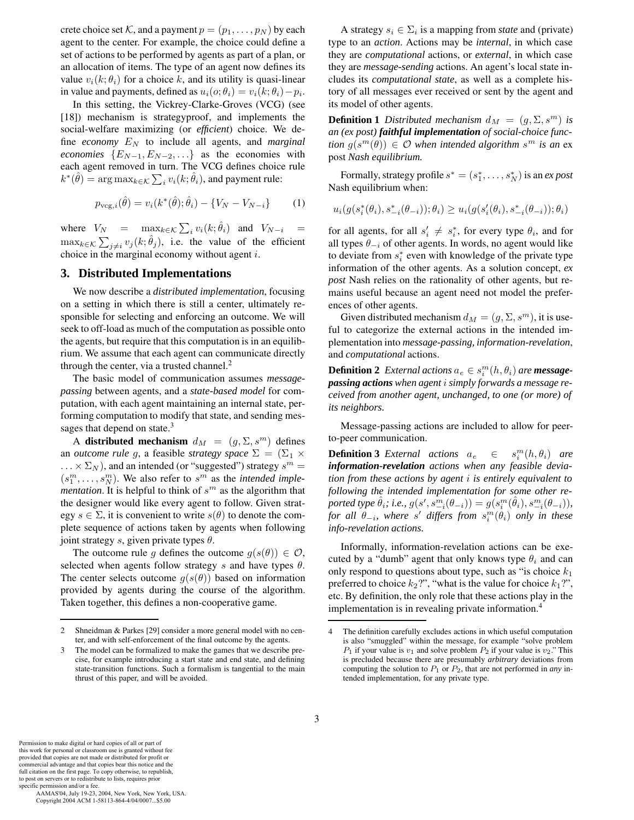crete choice set K, and a payment  $p = (p_1, \ldots, p_N)$  by each agent to the center. For example, the choice could define a set of actions to be performed by agents as part of a plan, or an allocation of items. The type of an agent now defines its value  $v_i(k; \theta_i)$  for a choice k, and its utility is quasi-linear in value and payments, defined as  $u_i(o; \theta_i) = v_i(k; \theta_i) - p_i$ .

In this setting, the Vickrey-Clarke-Groves (VCG) (see [18]) mechanism is strategyproof, and implements the social-welfare maximizing (or *efficient*) choice. We define *economy* E*<sup>N</sup>* to include all agents, and *marginal economies*  ${E_{N-1}, E_{N-2}, \ldots}$  as the economies with each agent removed in turn. The VCG defines choice rule  $k^*(\theta) = \arg \max_{k \in \mathcal{K}} \sum_i v_i(k; \theta_i)$ , and payment rule:

$$
p_{\text{vcg},i}(\hat{\theta}) = v_i(k^*(\hat{\theta}); \hat{\theta}_i) - \{V_N - V_{N-i}\}\tag{1}
$$

where  $V_N$  =  $\max_{k \in \mathcal{K}} \sum_i v_i(k; \theta_i)$  and  $V_{N-i}$  =  $\max_{k \in \mathcal{K}} \sum_{j \neq i} v_j(k; \theta_j)$ , i.e. the value of the efficient choice in the marginal economy without agent *i* choice in the marginal economy without agent i.

## **3. Distributed Implementations**

We now describe a *distributed implementation*, focusing on a setting in which there is still a center, ultimately responsible for selecting and enforcing an outcome. We will seek to off-load as much of the computation as possible onto the agents, but require that this computation is in an equilibrium. We assume that each agent can communicate directly through the center, via a trusted channel.<sup>2</sup>

The basic model of communication assumes *messagepassing* between agents, and a *state-based model* for computation, with each agent maintaining an internal state, performing computation to modify that state, and sending messages that depend on state.<sup>3</sup>

A **distributed mechanism**  $d_M = (g, \Sigma, s^m)$  defines an *outcome rule g*, a feasible *strategy space*  $\Sigma = (\Sigma_1 \times$  $\ldots \times \Sigma_N$ ), and an intended (or "suggested") strategy  $s^m =$  $(s_1^m, \ldots, s_N^m)$ . We also refer to  $s^m$  as the *intended implementation* It is helpful to think of  $s^m$  as the algorithm that *mentation*. It is helpful to think of  $s<sup>m</sup>$  as the algorithm that the designer would like every agent to follow. Given strategy  $s \in \Sigma$ , it is convenient to write  $s(\theta)$  to denote the complete sequence of actions taken by agents when following joint strategy s, given private types  $\theta$ .

The outcome rule g defines the outcome  $g(s(\theta)) \in \mathcal{O}$ , selected when agents follow strategy s and have types  $\theta$ . The center selects outcome  $g(s(\theta))$  based on information provided by agents during the course of the algorithm. Taken together, this defines a non-cooperative game.

A strategy  $s_i \in \Sigma_i$  is a mapping from *state* and (private) type to an *action*. Actions may be *internal*, in which case they are *computational* actions, or *external*, in which case they are *message-sending* actions. An agent's local state includes its *computational state*, as well as a complete history of all messages ever received or sent by the agent and its model of other agents.

**Definition 1** *Distributed mechanism*  $d_M = (g, \Sigma, s^m)$  *is an (ex post) faithful implementation of social-choice function*  $g(s^m(\theta)) \in \mathcal{O}$  *when intended algorithm*  $s^m$  *is an* ex post *Nash equilibrium.*

Formally, strategy profile  $s^* = (s_1^*, \ldots, s_N^*)$  is an *ex post*<br>sh equilibrium when: Nash equilibrium when:

$$
u_i(g(s_i^*(\theta_i), s_{-i}^*(\theta_{-i})); \theta_i) \geq u_i(g(s_i'(\theta_i), s_{-i}^*(\theta_{-i})); \theta_i)
$$

for all agents, for all  $s'_i \neq s^*_i$ , for every type  $\theta_i$ , and for all types  $\theta_i$ , of other agents. In words, no agent would like all types θ−*<sup>i</sup>* of other agents. In words, no agent would like to deviate from s<sup>∗</sup> *<sup>i</sup>* even with knowledge of the private type information of the other agents. As a solution concept, *ex post* Nash relies on the rationality of other agents, but remains useful because an agent need not model the preferences of other agents.

Given distributed mechanism  $d_M = (g, \Sigma, s^m)$ , it is useful to categorize the external actions in the intended implementation into *message-passing, information-revelation*, and *computational* actions.

**Definition 2** *External actions*  $a_e \in s_i^m(h, \theta_i)$  *are message-*<br>**passing actions** when agent *i* simply forwards a message re*passing actions when agent* i *simply forwards a message received from another agent, unchanged, to one (or more) of its neighbors.*

Message-passing actions are included to allow for peerto-peer communication.

**Definition 3** *External actions*  $a_e \in s_i^m(h, \theta_i)$  *are*<br> *information-revelation actions when any feasible deviainformation-revelation actions when any feasible deviation from these actions by agent* i *is entirely equivalent to following the intended implementation for some other re-* $\mathit{p}$ <sub>*o*</sub> *p*  $\theta$ *ii*</sup>*iie.*,  $g(s', s^m_{-i}(\theta_{-i})) = g(s^m_i(\hat{\theta}_i), s^m_{-i}(\theta_{-i})),$ <br>  $\mathit{for all } \theta \in \mathbb{R}$  where  $s'$  differs from  $s^m(\theta_1)$  only in these *for all*  $\theta_{-i}$ *, where* s' differs from  $s_i^m(\theta_i)$  only in these<br>*info-revelation actions info-revelation actions.*

Informally, information-revelation actions can be executed by a "dumb" agent that only knows type  $\theta_i$  and can only respond to questions about type, such as "is choice  $k_1$ preferred to choice  $k_2$ ?", "what is the value for choice  $k_1$ ?", etc. By definition, the only role that these actions play in the implementation is in revealing private information.<sup>4</sup>

3

full citation on the first page. To copy otherwise, to republish, to post on servers or to redistribute to lists, requires prior specific permission and/or a fee. AAMAS'04, July 19-23, 2004, New York, New York, USA.

Copyright 2004 ACM 1-58113-864-4/04/0007...\$5.00

<sup>2</sup> Shneidman & Parkes [29] consider a more general model with no center, and with self-enforcement of the final outcome by the agents.

The model can be formalized to make the games that we describe precise, for example introducing a start state and end state, and defining state-transition functions. Such a formalism is tangential to the main thrust of this paper, and will be avoided.

<sup>4</sup> The definition carefully excludes actions in which useful computation is also "smuggled" within the message, for example "solve problem *P*<sub>1</sub> if your value is  $v_1$  and solve problem  $P_2$  if your value is  $v_2$ ." This is precluded because there are presumably *arbitrary* deviations from computing the solution to  $P_1$  or  $P_2$ , that are not performed in *any* intended implementation, for any private type.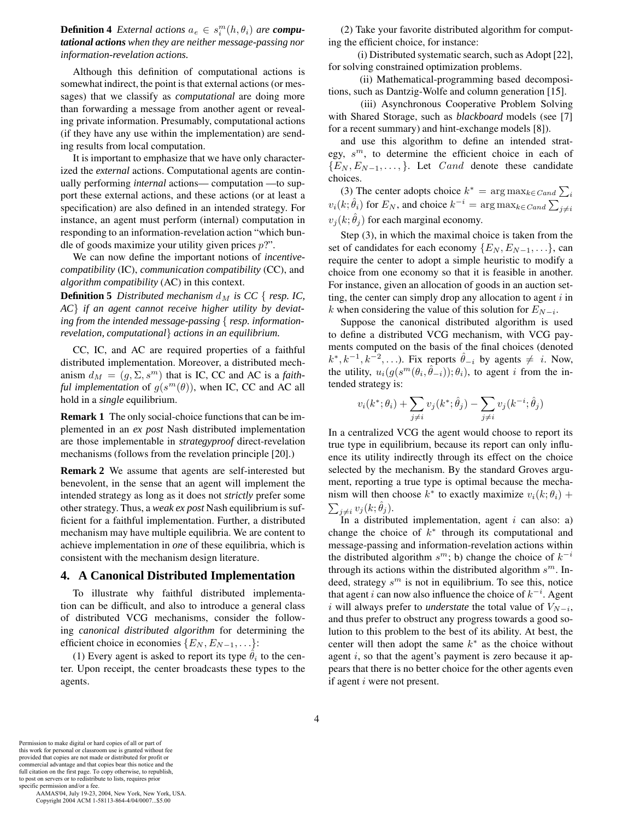**Definition 4** *External actions*  $a_e \in s_i^m(h, \theta_i)$  *are computational actions* when they are neither message-passing por *tational actions when they are neither message-passing nor information-revelation actions.*

Although this definition of computational actions is somewhat indirect, the point is that external actions (or messages) that we classify as *computational* are doing more than forwarding a message from another agent or revealing private information. Presumably, computational actions (if they have any use within the implementation) are sending results from local computation.

It is important to emphasize that we have only characterized the *external* actions. Computational agents are continually performing *internal* actions— computation —to support these external actions, and these actions (or at least a specification) are also defined in an intended strategy. For instance, an agent must perform (internal) computation in responding to an information-revelation action "which bundle of goods maximize your utility given prices  $p$ ?".

We can now define the important notions of *incentivecompatibility* (IC), *communication compatibility* (CC), and *algorithm compatibility* (AC) in this context.

**Definition 5** Distributed mechanism  $d_M$  is CC { resp. IC, *AC*} *if an agent cannot receive higher utility by deviating from the intended message-passing* { *resp. informationrevelation, computational*} *actions in an equilibrium.*

CC, IC, and AC are required properties of a faithful distributed implementation. Moreover, a distributed mechanism  $d_M = (g, \Sigma, s^m)$  that is IC, CC and AC is a *faithful implementation* of  $g(s^m(\theta))$ , when IC, CC and AC all hold in a *single* equilibrium.

**Remark 1** The only social-choice functions that can be implemented in an *ex post* Nash distributed implementation are those implementable in *strategyproof* direct-revelation mechanisms (follows from the revelation principle [20].)

**Remark 2** We assume that agents are self-interested but benevolent, in the sense that an agent will implement the intended strategy as long as it does not *strictly* prefer some other strategy. Thus, a *weak ex post* Nash equilibrium is sufficient for a faithful implementation. Further, a distributed mechanism may have multiple equilibria. We are content to achieve implementation in *one* of these equilibria, which is consistent with the mechanism design literature.

#### **4. A Canonical Distributed Implementation**

To illustrate why faithful distributed implementation can be difficult, and also to introduce a general class of distributed VCG mechanisms, consider the following *canonical distributed algorithm* for determining the efficient choice in economies  $\{E_N, E_{N-1}, \ldots\}$ :

(1) Every agent is asked to report its type  $\theta_i$  to the center. Upon receipt, the center broadcasts these types to the agents.

(2) Take your favorite distributed algorithm for computing the efficient choice, for instance:

(i) Distributed systematic search, such as Adopt [22], for solving constrained optimization problems.

(ii) Mathematical-programming based decompositions, such as Dantzig-Wolfe and column generation [15].

(iii) Asynchronous Cooperative Problem Solving with Shared Storage, such as *blackboard* models (see [7] for a recent summary) and hint-exchange models [8]).

and use this algorithm to define an intended strategy, s*<sup>m</sup>*, to determine the efficient choice in each of  ${E_N, E_{N-1}, \ldots}$ . Let *Cand* denote these candidate choices.

(3) The center adopts choice  $k^* = \arg \max_{k \in C \text{and } \sum_i} k^*$  $v_i(k; \hat{\theta}_i)$  for  $E_N$ , and choice  $k^{-i} = \arg \max_{k \in \text{C} and } \sum_{j \neq i}$  $v_j(k; \theta_j)$  for each marginal economy.

Step (3), in which the maximal choice is taken from the set of candidates for each economy  $\{E_N, E_{N-1}, \ldots\}$ , can require the center to adopt a simple heuristic to modify a choice from one economy so that it is feasible in another. For instance, given an allocation of goods in an auction setting, the center can simply drop any allocation to agent  $i$  in k when considering the value of this solution for  $E_{N-i}$ .

Suppose the canonical distributed algorithm is used to define a distributed VCG mechanism, with VCG payments computed on the basis of the final choices (denoted  $k^*, k^{-1}, k^{-2}, \ldots$ ). Fix reports  $\hat{\theta}_{-i}$  by agents  $\neq i$ . Now, the utility,  $u_i(g(s^m(\theta_i, \theta_{-i})); \theta_i)$ , to agent i from the intended strategy is:

$$
v_i(k^*; \theta_i) + \sum_{j \neq i} v_j(k^*; \hat{\theta}_j) - \sum_{j \neq i} v_j(k^{-i}; \hat{\theta}_j)
$$

In a centralized VCG the agent would choose to report its true type in equilibrium, because its report can only influence its utility indirectly through its effect on the choice selected by the mechanism. By the standard Groves argument, reporting a true type is optimal because the mechanism will then choose  $k^*$  to exactly maximize  $v_i(k; \theta_i)$  +  $\sum_{j\neq i} v_j(k;\theta_j)$ .<br>In a distribu

In a distributed implementation, agent  $i$  can also: a) change the choice of  $k^*$  through its computational and message-passing and information-revelation actions within the distributed algorithm  $s^m$ ; b) change the choice of  $k^{-i}$ through its actions within the distributed algorithm s*<sup>m</sup>*. Indeed, strategy s*<sup>m</sup>* is not in equilibrium. To see this, notice that agent i can now also influence the choice of k−*<sup>i</sup>* . Agent *i* will always prefer to *understate* the total value of  $V_{N-i}$ , and thus prefer to obstruct any progress towards a good solution to this problem to the best of its ability. At best, the center will then adopt the same  $k^*$  as the choice without agent  $i$ , so that the agent's payment is zero because it appears that there is no better choice for the other agents even if agent i were not present.

Permission to make digital or hard copies of all or part of this work for personal or classroom use is granted without fee provided that copies are not made or distributed for profit or commercial advantage and that copies bear this notice and the full citation on the first page. To copy otherwise, to republish, to post on servers or to redistribute to lists, requires prior

specific permission and/or a fee. AAMAS'04, July 19-23, 2004, New York, New York, USA. Copyright 2004 ACM 1-58113-864-4/04/0007...\$5.00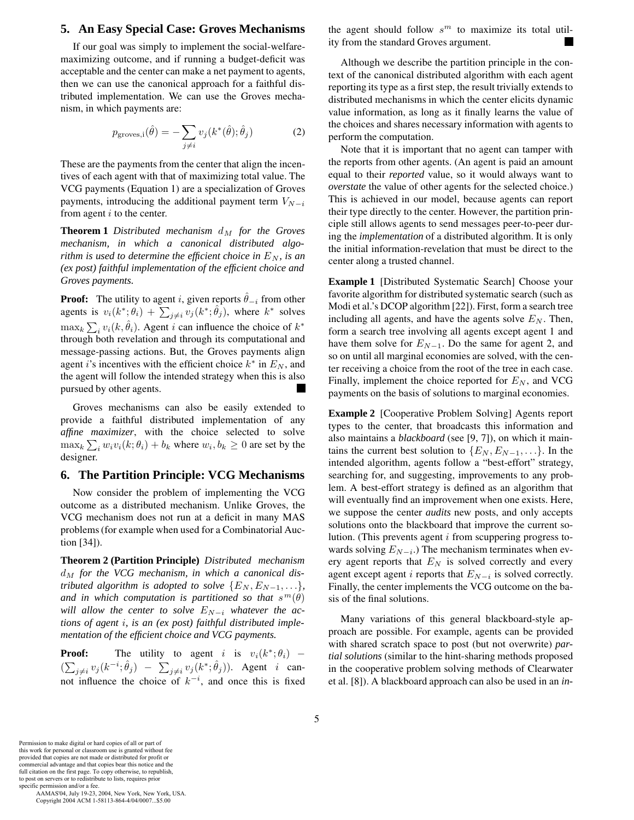## **5. An Easy Special Case: Groves Mechanisms**

If our goal was simply to implement the social-welfaremaximizing outcome, and if running a budget-deficit was acceptable and the center can make a net payment to agents, then we can use the canonical approach for a faithful distributed implementation. We can use the Groves mechanism, in which payments are:

$$
p_{\text{groves},i}(\hat{\theta}) = -\sum_{j \neq i} v_j(k^*(\hat{\theta}); \hat{\theta}_j)
$$
(2)

These are the payments from the center that align the incentives of each agent with that of maximizing total value. The VCG payments (Equation 1) are a specialization of Groves payments, introducing the additional payment term  $V_{N-i}$ from agent  $i$  to the center.

**Theorem 1** *Distributed mechanism* d*<sup>M</sup> for the Groves mechanism, in which a canonical distributed algorithm is used to determine the efficient choice in*  $E_N$ *, is an (ex post) faithful implementation of the efficient choice and Groves payments.*

**Proof:** The utility to agent *i*, given reports  $\theta_{-i}$  from other agents is  $v_i(k^*, \theta_i) + \sum_{j \neq i} v_j(k^*, \theta_j)$ , where  $k^*$  solves  $\max_k \sum_i v_i(k, \theta_i)$ . Agent *i* can influence the choice of  $k^*$ <br>through both revelation and through its computational and through both revelation and through its computational and message-passing actions. But, the Groves payments align agent *i*'s incentives with the efficient choice  $k^*$  in  $E_N$ , and the agent will follow the intended strategy when this is also pursued by other agents.

Groves mechanisms can also be easily extended to provide a faithful distributed implementation of any *affine maximizer*, with the choice selected to solve  $\max_k \sum_i w_i v_i(k; \theta_i) + b_k$  where  $w_i, b_k \ge 0$  are set by the designer designer.

# **6. The Partition Principle: VCG Mechanisms**

Now consider the problem of implementing the VCG outcome as a distributed mechanism. Unlike Groves, the VCG mechanism does not run at a deficit in many MAS problems (for example when used for a Combinatorial Auction [34]).

**Theorem 2 (Partition Principle)** *Distributed mechanism* d*<sup>M</sup> for the VCG mechanism, in which a canonical distributed algorithm is adopted to solve*  ${E_N, E_{N-1}, \ldots}$ *, and in which computation is partitioned so that*  $s^m(\theta)$ *will allow the center to solve* E*<sup>N</sup>*−*<sup>i</sup> whatever the actions of agent* i*, is an (ex post) faithful distributed implementation of the efficient choice and VCG payments.*

**Proof:** The utility to agent i is  $v_i(k^*; \theta_i)$  –  $\sum_{j \neq i} \sum_{j \in \mathbb{Z}} (n - i, j)$   $\sum_{j \neq i} \sum_{j \in \mathbb{Z}} (n - i, j)$  and once this is fixed  $\sum_{j\neq i} v_j(k^{-i}; \hat{\theta}_j) - \sum_{j\neq i} v_j(k^*; \hat{\theta}_j)$ . Agent *i* canthe agent should follow  $s^m$  to maximize its total utility from the standard Groves argument.

Although we describe the partition principle in the context of the canonical distributed algorithm with each agent reporting its type as a first step, the result trivially extends to distributed mechanisms in which the center elicits dynamic value information, as long as it finally learns the value of the choices and shares necessary information with agents to perform the computation.

Note that it is important that no agent can tamper with the reports from other agents. (An agent is paid an amount equal to their *reported* value, so it would always want to *overstate* the value of other agents for the selected choice.) This is achieved in our model, because agents can report their type directly to the center. However, the partition principle still allows agents to send messages peer-to-peer during the *implementation* of a distributed algorithm. It is only the initial information-revelation that must be direct to the center along a trusted channel.

**Example 1** [Distributed Systematic Search] Choose your favorite algorithm for distributed systematic search (such as Modi et al.'s DCOP algorithm [22]). First, form a search tree including all agents, and have the agents solve  $E<sub>N</sub>$ . Then, form a search tree involving all agents except agent 1 and have them solve for  $E_{N-1}$ . Do the same for agent 2, and so on until all marginal economies are solved, with the center receiving a choice from the root of the tree in each case. Finally, implement the choice reported for  $E_N$ , and VCG payments on the basis of solutions to marginal economies.

**Example 2** [Cooperative Problem Solving] Agents report types to the center, that broadcasts this information and also maintains a *blackboard* (see [9, 7]), on which it maintains the current best solution to  $\{E_N, E_{N-1}, \ldots\}$ . In the intended algorithm, agents follow a "best-effort" strategy, searching for, and suggesting, improvements to any problem. A best-effort strategy is defined as an algorithm that will eventually find an improvement when one exists. Here, we suppose the center *audits* new posts, and only accepts solutions onto the blackboard that improve the current solution. (This prevents agent  $i$  from scuppering progress towards solving  $E_{N-i}$ .) The mechanism terminates when every agent reports that  $E_N$  is solved correctly and every agent except agent  $i$  reports that  $E_{N-i}$  is solved correctly. Finally, the center implements the VCG outcome on the basis of the final solutions.

Many variations of this general blackboard-style approach are possible. For example, agents can be provided with shared scratch space to post (but not overwrite) *partial solutions* (similar to the hint-sharing methods proposed in the cooperative problem solving methods of Clearwater et al. [8]). A blackboard approach can also be used in an *in-*

Permission to make digital or hard copies of all or part of this work for personal or classroom use is granted without fee provided that copies are not made or distributed for profit or commercial advantage and that copies bear this notice and the full citation on the first page. To copy otherwise, to republish, to post on servers or to redistribute to lists, requires prior

specific permission and/or a fee. AAMAS'04, July 19-23, 2004, New York, New York, USA. Copyright 2004 ACM 1-58113-864-4/04/0007...\$5.00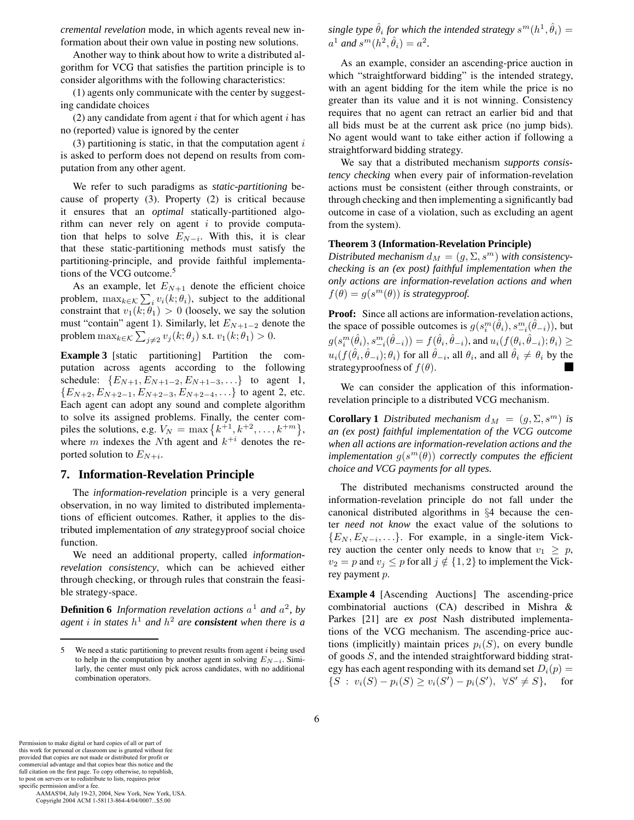*cremental revelation* mode, in which agents reveal new information about their own value in posting new solutions.

Another way to think about how to write a distributed algorithm for VCG that satisfies the partition principle is to consider algorithms with the following characteristics:

(1) agents only communicate with the center by suggesting candidate choices

(2) any candidate from agent  $i$  that for which agent  $i$  has no (reported) value is ignored by the center

(3) partitioning is static, in that the computation agent  $i$ is asked to perform does not depend on results from computation from any other agent.

We refer to such paradigms as *static-partitioning* because of property (3). Property (2) is critical because it ensures that an *optimal* statically-partitioned algorithm can never rely on agent  $i$  to provide computation that helps to solve  $E_{N-i}$ . With this, it is clear that these static-partitioning methods must satisfy the partitioning-principle, and provide faithful implementations of the VCG outcome.<sup>5</sup>

As an example, let  $E_{N+1}$  denote the efficient choice problem,  $\max_{k \in \mathcal{K}} \sum_i v_i(k; \theta_i)$ , subject to the additional constraint that  $v_i(k; \theta_i) > 0$  (loosely we say the solution constraint that  $v_1(k; \theta_1) > 0$  (loosely, we say the solution must "contain" agent <sup>1</sup>). Similarly, let <sup>E</sup>*<sup>N</sup>*+1−2 denote the problem  $\max_{k \in \mathcal{K}} \sum_{j \neq 2} v_j(k; \theta_j)$  s.t.  $v_1(k; \theta_1) > 0$ .

**Example 3** [static partitioning] Partition the computation across agents according to the following schedule:  $\{E_{N+1}, E_{N+1-2}, E_{N+1-3}, \ldots\}$  to agent 1, {E*<sup>N</sup>*+2, E*<sup>N</sup>*+2−1, E*<sup>N</sup>*+2−3, E*<sup>N</sup>*+2−4,...} to agent 2, etc. Each agent can adopt any sound and complete algorithm to solve its assigned problems. Finally, the center compiles the solutions, e.g.  $V_N = \max\left\{k^{+1}, k^{+2}, \ldots, k^{+m}\right\}$ ,<br>where m indexes the *N*<sup>th</sup> agent and  $k^{+i}$  denotes the rewhere m indexes the Nth agent and  $k^{+i}$  denotes the reported solution to  $E_{N+i}$ .

## **7. Information-Revelation Principle**

The *information-revelation* principle is a very general observation, in no way limited to distributed implementations of efficient outcomes. Rather, it applies to the distributed implementation of *any* strategyproof social choice function.

We need an additional property, called *informationrevelation consistency*, which can be achieved either through checking, or through rules that constrain the feasible strategy-space.

**Definition 6** *Information revelation actions*  $a^1$  *and*  $a^2$ *, by agent i* in states  $h<sup>1</sup>$  *and*  $h<sup>2</sup>$  *are consistent* when there is a

*single type*  $\hat{\theta}_i$  *for which the intended strategy*  $s^m(h^1, \hat{\theta}_i)$  =  $a^1$  *and*  $s^m(h^2, \hat{\theta}_i) = a^2$ .

As an example, consider an ascending-price auction in which "straightforward bidding" is the intended strategy, with an agent bidding for the item while the price is no greater than its value and it is not winning. Consistency requires that no agent can retract an earlier bid and that all bids must be at the current ask price (no jump bids). No agent would want to take either action if following a straightforward bidding strategy.

We say that a distributed mechanism *supports consistency checking* when every pair of information-revelation actions must be consistent (either through constraints, or through checking and then implementing a significantly bad outcome in case of a violation, such as excluding an agent from the system).

#### **Theorem 3 (Information-Revelation Principle)**

Distributed mechanism  $d_M = (g, \Sigma, s^m)$  with consistency*checking is an (ex post) faithful implementation when the only actions are information-revelation actions and when*  $f(\theta) = g(s^m(\theta))$  *is strategyproof.* 

**Proof:** Since all actions are information-revelation actions, the space of possible outcomes is  $g(s_i^m(\hat{\theta}_i), s_{-i}^m(\hat{\theta}_{-i}))$ , but<br>  $f(s_i^m(\hat{\theta}_i), s_{-i}^m(\hat{\theta}_{-i})) \leq f(\hat{\theta}_{-i}, \hat{\theta}_{-i})$  $g(s_i^m(\hat{\theta}_i), s_{-i}^m(\hat{\theta}_{-i})) = f(\hat{\theta}_i, \hat{\theta}_{-i}),$  and  $u_i(f(\theta_i, \hat{\theta}_{-i}); \theta_i) \ge$  $u_i(f(\hat{\theta}_i, \hat{\theta}_{-i}); \theta_i)$  for all  $\hat{\theta}_{-i}$ , all  $\theta_i$ , and all  $\hat{\theta}_i \neq \theta_i$  by the strategyproofness of  $f(\theta)$ .

We can consider the application of this informationrevelation principle to a distributed VCG mechanism.

**Corollary 1** *Distributed mechanism*  $d_M = (g, \Sigma, s^m)$  *is an (ex post) faithful implementation of the VCG outcome when all actions are information-revelation actions and the implementation*  $q(s^m(\theta))$  *correctly computes the efficient choice and VCG payments for all types.*

The distributed mechanisms constructed around the information-revelation principle do not fall under the canonical distributed algorithms in §4 because the center *need not know* the exact value of the solutions to  ${E_N, E_{N-i}, \ldots}$ . For example, in a single-item Vickrey auction the center only needs to know that  $v_1 \geq p$ ,  $v_2 = p$  and  $v_j \leq p$  for all  $j \notin \{1, 2\}$  to implement the Vickrey payment p.

**Example 4** [Ascending Auctions] The ascending-price combinatorial auctions (CA) described in Mishra & Parkes [21] are *ex post* Nash distributed implementations of the VCG mechanism. The ascending-price auctions (implicitly) maintain prices  $p_i(S)$ , on every bundle of goods S, and the intended straightforward bidding strategy has each agent responding with its demand set  $D_i(p) = \{S : v_i(S) - p_i(S) \ge v_i(S') - p_i(S')$ ,  $\forall S' \ne S\}$ , for  ${S : v_i(S) - p_i(S) \ge v_i(S') - p_i(S'), \forall S' \ne S},$  for

Permission to make digital or hard copies of all or part of this work for personal or classroom use is granted without fee provided that copies are not made or distributed for profit or commercial advantage and that copies bear this notice and the full citation on the first page. To copy otherwise, to republish, to post on servers or to redistribute to lists, requires prior specific permission and/or a fee.

<sup>5</sup> We need a static partitioning to prevent results from agent *i* being used to help in the computation by another agent in solving  $E_{N-i}$ . Similarly, the center must only pick across candidates, with no additional combination operators.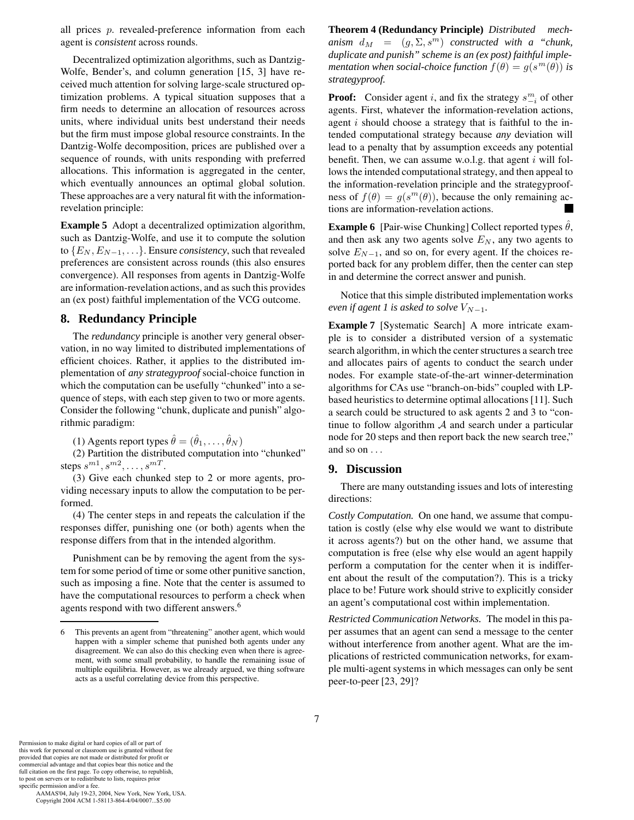all prices p. revealed-preference information from each agent is *consistent* across rounds.

Decentralized optimization algorithms, such as Dantzig-Wolfe, Bender's, and column generation [15, 3] have received much attention for solving large-scale structured optimization problems. A typical situation supposes that a firm needs to determine an allocation of resources across units, where individual units best understand their needs but the firm must impose global resource constraints. In the Dantzig-Wolfe decomposition, prices are published over a sequence of rounds, with units responding with preferred allocations. This information is aggregated in the center, which eventually announces an optimal global solution. These approaches are a very natural fit with the informationrevelation principle:

**Example 5** Adopt a decentralized optimization algorithm, such as Dantzig-Wolfe, and use it to compute the solution to  ${E_N, E_{N-1}, \ldots}$ . Ensure *consistency*, such that revealed preferences are consistent across rounds (this also ensures convergence). All responses from agents in Dantzig-Wolfe are information-revelation actions, and as such this provides an (ex post) faithful implementation of the VCG outcome.

# **8. Redundancy Principle**

The *redundancy* principle is another very general observation, in no way limited to distributed implementations of efficient choices. Rather, it applies to the distributed implementation of *any strategyproof* social-choice function in which the computation can be usefully "chunked" into a sequence of steps, with each step given to two or more agents. Consider the following "chunk, duplicate and punish" algorithmic paradigm:

(1) Agents report types  $\hat{\theta} = (\hat{\theta}_1, \dots, \hat{\theta}_N)$ 

(2) Partition the distributed computation into "chunked" steps  $s^{m1}, s^{m2}, \ldots, s^{mT}$ .

(3) Give each chunked step to 2 or more agents, providing necessary inputs to allow the computation to be performed.

(4) The center steps in and repeats the calculation if the responses differ, punishing one (or both) agents when the response differs from that in the intended algorithm.

Punishment can be by removing the agent from the system for some period of time or some other punitive sanction, such as imposing a fine. Note that the center is assumed to have the computational resources to perform a check when agents respond with two different answers.<sup>6</sup>

**Theorem 4 (Redundancy Principle)** *Distributed mechanism*  $d_M = (g, \Sigma, s^m)$  *constructed with a "chunk, duplicate and punish" scheme is an (ex post) faithful implementation when social-choice function*  $f(\theta) = g(s^m(\theta))$  *is strategyproof.*

**Proof:** Consider agent *i*, and fix the strategy  $s_{-i}^m$  of other agents. First, whatever the information-revelation actions, agent i should choose a strategy that is faithful to the intended computational strategy because *any* deviation will lead to a penalty that by assumption exceeds any potential benefit. Then, we can assume w.o.l.g. that agent  $i$  will follows the intended computational strategy, and then appeal to the information-revelation principle and the strategyproofness of  $f(\theta) = g(s^m(\theta))$ , because the only remaining actions are information-revelation actions.

**Example 6** [Pair-wise Chunking] Collect reported types  $\hat{\theta}$ , and then ask any two agents solve  $E_N$ , any two agents to solve  $E_{N-1}$ , and so on, for every agent. If the choices reported back for any problem differ, then the center can step in and determine the correct answer and punish.

Notice that this simple distributed implementation works *even if agent 1 is asked to solve*  $V_{N-1}$ *.* 

**Example 7** [Systematic Search] A more intricate example is to consider a distributed version of a systematic search algorithm, in which the center structures a search tree and allocates pairs of agents to conduct the search under nodes. For example state-of-the-art winner-determination algorithms for CAs use "branch-on-bids" coupled with LPbased heuristics to determine optimal allocations [11]. Such a search could be structured to ask agents 2 and 3 to "continue to follow algorithm  $A$  and search under a particular node for 20 steps and then report back the new search tree," and so on ...

## **9. Discussion**

There are many outstanding issues and lots of interesting directions:

*Costly Computation.* On one hand, we assume that computation is costly (else why else would we want to distribute it across agents?) but on the other hand, we assume that computation is free (else why else would an agent happily perform a computation for the center when it is indifferent about the result of the computation?). This is a tricky place to be! Future work should strive to explicitly consider an agent's computational cost within implementation.

*Restricted Communication Networks.* The model in this paper assumes that an agent can send a message to the center without interference from another agent. What are the implications of restricted communication networks, for example multi-agent systems in which messages can only be sent peer-to-peer [23, 29]?

Permission to make digital or hard copies of all or part of this work for personal or classroom use is granted without fee provided that copies are not made or distributed for profit or commercial advantage and that copies bear this notice and the full citation on the first page. To copy otherwise, to republish, to post on servers or to redistribute to lists, requires prior specific permission and/or a fee.

<sup>6</sup> This prevents an agent from "threatening" another agent, which would happen with a simpler scheme that punished both agents under any disagreement. We can also do this checking even when there is agreement, with some small probability, to handle the remaining issue of multiple equilibria. However, as we already argued, we thing software acts as a useful correlating device from this perspective.